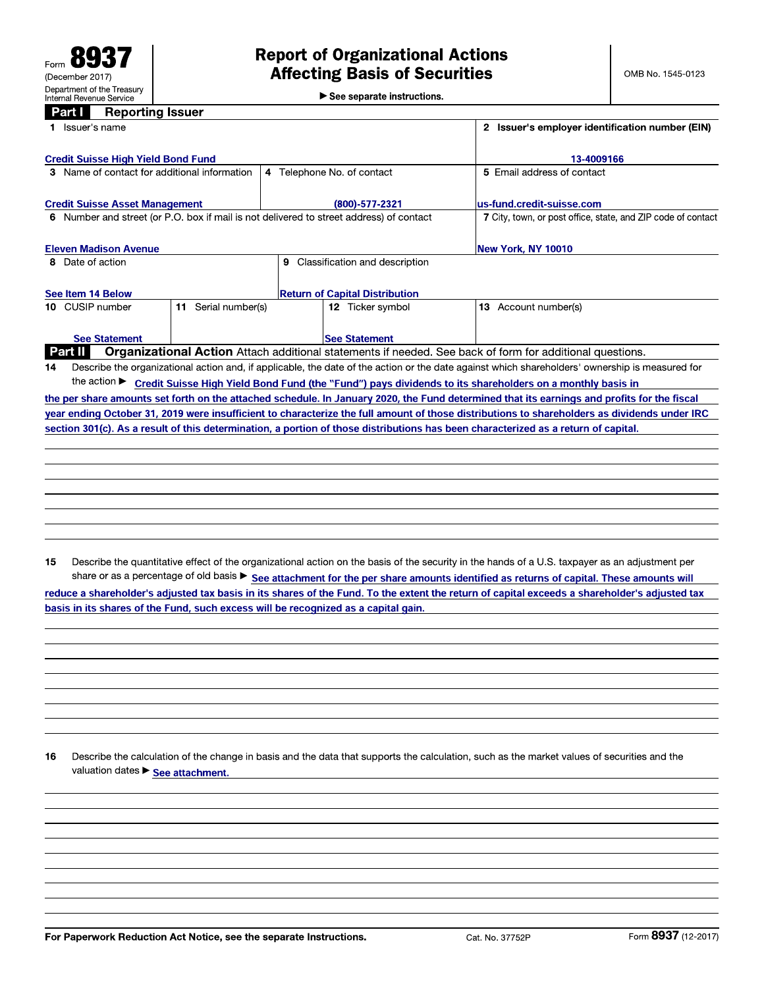See separate instructions.

#### Part I **Reporting Issuer**

| <b>Credit Suisse High Yield Bond Fund</b><br>13-4009166<br>3 Name of contact for additional information<br>4 Telephone No. of contact<br>5 Email address of contact<br><b>Credit Suisse Asset Management</b><br>$(800) - 577 - 2321$<br>lus-fund.credit-suisse.com<br>6 Number and street (or P.O. box if mail is not delivered to street address) of contact<br><b>Eleven Madison Avenue</b><br>New York, NY 10010<br>Classification and description<br>8 Date of action<br>9<br><b>Return of Capital Distribution</b><br>See Item 14 Below<br>Serial number(s)<br>13 Account number(s)<br>10 CUSIP number<br>12 Ticker symbol<br>11. |  | Issuer's employer identification number (EIN)<br>Issuer's name |                                                              |  |  |  |  |  |
|----------------------------------------------------------------------------------------------------------------------------------------------------------------------------------------------------------------------------------------------------------------------------------------------------------------------------------------------------------------------------------------------------------------------------------------------------------------------------------------------------------------------------------------------------------------------------------------------------------------------------------------|--|----------------------------------------------------------------|--------------------------------------------------------------|--|--|--|--|--|
|                                                                                                                                                                                                                                                                                                                                                                                                                                                                                                                                                                                                                                        |  |                                                                |                                                              |  |  |  |  |  |
|                                                                                                                                                                                                                                                                                                                                                                                                                                                                                                                                                                                                                                        |  |                                                                |                                                              |  |  |  |  |  |
|                                                                                                                                                                                                                                                                                                                                                                                                                                                                                                                                                                                                                                        |  |                                                                |                                                              |  |  |  |  |  |
|                                                                                                                                                                                                                                                                                                                                                                                                                                                                                                                                                                                                                                        |  |                                                                | 7 City, town, or post office, state, and ZIP code of contact |  |  |  |  |  |
|                                                                                                                                                                                                                                                                                                                                                                                                                                                                                                                                                                                                                                        |  |                                                                |                                                              |  |  |  |  |  |
|                                                                                                                                                                                                                                                                                                                                                                                                                                                                                                                                                                                                                                        |  |                                                                |                                                              |  |  |  |  |  |
|                                                                                                                                                                                                                                                                                                                                                                                                                                                                                                                                                                                                                                        |  |                                                                |                                                              |  |  |  |  |  |
|                                                                                                                                                                                                                                                                                                                                                                                                                                                                                                                                                                                                                                        |  |                                                                |                                                              |  |  |  |  |  |
| <b>See Statement</b><br><b>See Statement</b>                                                                                                                                                                                                                                                                                                                                                                                                                                                                                                                                                                                           |  |                                                                |                                                              |  |  |  |  |  |
| Organizational Action Attach additional statements if needed. See back of form for additional questions.<br><b>Part II</b>                                                                                                                                                                                                                                                                                                                                                                                                                                                                                                             |  |                                                                |                                                              |  |  |  |  |  |
| Describe the organizational action and, if applicable, the date of the action or the date against which shareholders' ownership is measured for<br>14                                                                                                                                                                                                                                                                                                                                                                                                                                                                                  |  |                                                                |                                                              |  |  |  |  |  |
| the action $\blacktriangleright$<br>Credit Suisse High Yield Bond Fund (the "Fund") pays dividends to its shareholders on a monthly basis in                                                                                                                                                                                                                                                                                                                                                                                                                                                                                           |  |                                                                |                                                              |  |  |  |  |  |
| the per share amounts set forth on the attached schedule. In January 2020, the Fund determined that its earnings and profits for the fiscal                                                                                                                                                                                                                                                                                                                                                                                                                                                                                            |  |                                                                |                                                              |  |  |  |  |  |
| year ending October 31, 2019 were insufficient to characterize the full amount of those distributions to shareholders as dividends under IRC                                                                                                                                                                                                                                                                                                                                                                                                                                                                                           |  |                                                                |                                                              |  |  |  |  |  |
| section 301(c). As a result of this determination, a portion of those distributions has been characterized as a return of capital.                                                                                                                                                                                                                                                                                                                                                                                                                                                                                                     |  |                                                                |                                                              |  |  |  |  |  |
|                                                                                                                                                                                                                                                                                                                                                                                                                                                                                                                                                                                                                                        |  |                                                                |                                                              |  |  |  |  |  |

Describe the quantitative effect of the organizational action on the basis of the security in the hands of a U.S. taxpayer as an adjustment per 15 share or as a percentage of old basis > See attachment for the per share amounts identified as returns of capital. These amounts will reduce a shareholder's adjusted tax basis in its shares of the Fund. To the extent the return of capital exceeds a shareholder's adjusted tax basis in its shares of the Fund, such excess will be recognized as a capital gain.

16 Describe the calculation of the change in basis and the data that supports the calculation, such as the market values of securities and the valuation dates > See attachment.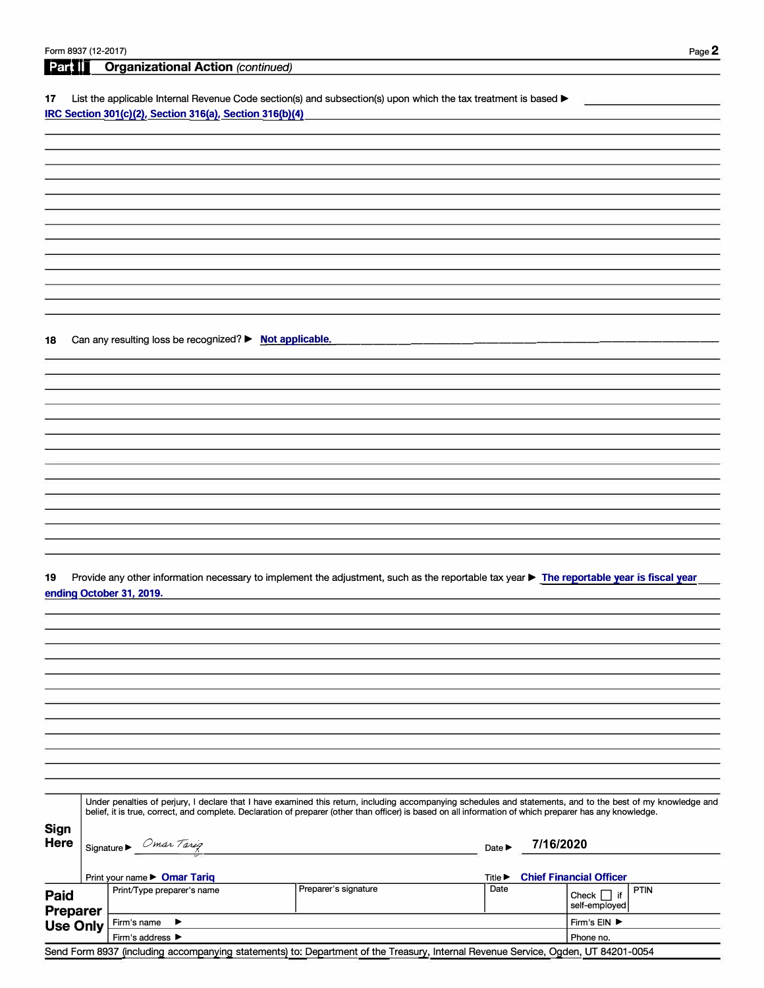# **1:Feart**  $\left| \int_0^{\pi}$  **Organizational Action** *(continued)*

17 List the applicable Internal Revenue Code section(s) and subsection(s) upon which the tax treatment is based ▶ **IRC Section 301(c)(2), Section 316(a), Section 316(b)(4)** 

**18** Can any resulting loss be recognized? ▶ **Not applicable.** 

**19** Provide any other information necessary to implement the adjustment, such as the reportable tax year ► **The reportable year is fiscal year ending October 31, 2019.** 

|                         | Under penalties of perjury, I declare that I have examined this return, including accompanying schedules and statements, and to the best of my knowledge and<br>belief, it is true, correct, and complete. Declaration of preparer (other than officer) is based on all information of which preparer has any knowledge. |                      |      |                                              |  |  |  |
|-------------------------|--------------------------------------------------------------------------------------------------------------------------------------------------------------------------------------------------------------------------------------------------------------------------------------------------------------------------|----------------------|------|----------------------------------------------|--|--|--|
| Sign<br>Here            | Omar Tarig<br>Signature $\blacktriangleright$                                                                                                                                                                                                                                                                            |                      |      | 7/16/2020                                    |  |  |  |
|                         | Print your name $\triangleright$ <b>Omar Tariq</b>                                                                                                                                                                                                                                                                       |                      |      | <b>Chief Financial Officer</b>               |  |  |  |
| Paid<br><b>Preparer</b> | Print/Type preparer's name                                                                                                                                                                                                                                                                                               | Preparer's signature | Date | <b>PTIN</b><br>∃if<br>Check<br>self-emploved |  |  |  |
| <b>Use Only</b>         | Firm's name<br>▸                                                                                                                                                                                                                                                                                                         |                      |      | Firm's EIN ▶                                 |  |  |  |
|                         | Firm's address ▶                                                                                                                                                                                                                                                                                                         | Phone no.            |      |                                              |  |  |  |

### Send Form 8937 (including accompanying statements) to: Department of the Treasury, Internal Revenue Service, Ogden, UT 84201-0054